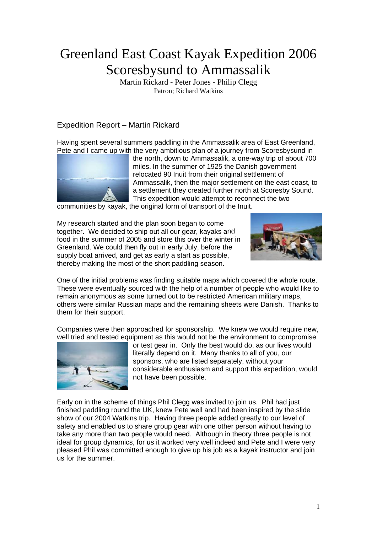# Greenland East Coast Kayak Expedition 2006 Scoresbysund to Ammassalik

Martin Rickard - Peter Jones - Philip Clegg Patron; Richard Watkins

## Expedition Report – Martin Rickard

Having spent several summers paddling in the Ammassalik area of East Greenland, Pete and I came up with the very ambitious plan of a journey from Scoresbysund in



the north, down to Ammassalik, a one-way trip of about 700 miles. In the summer of 1925 the Danish government relocated 90 Inuit from their original settlement of Ammassalik, then the major settlement on the east coast, to a settlement they created further north at Scoresby Sound. This expedition would attempt to reconnect the two

communities by kayak, the original form of transport of the Inuit.

My research started and the plan soon began to come together. We decided to ship out all our gear, kayaks and food in the summer of 2005 and store this over the winter in Greenland. We could then fly out in early July, before the supply boat arrived, and get as early a start as possible, thereby making the most of the short paddling season.



One of the initial problems was finding suitable maps which covered the whole route. others were similar Russian maps and the remaining sheets were Danish. Thanks to These were eventually sourced with the help of a number of people who would like to remain anonymous as some turned out to be restricted American military maps, them for their support.

Companies were then approached for sponsorship. We knew we would require new, well tried and tested equipment as this would not be the environment to compromise



considerable enthusiasm and support this expedition, would or test gear in. Only the best would do, as our lives would literally depend on it. Many thanks to all of you, our sponsors, who are listed separately, without your not have been possible.

Early on in the scheme of things Phil Clegg was invited to join us. Phil had just finished paddling round the UK, knew Pete well and had been inspired by the slide show of our 2004 Watkins trip. Having three people added greatly to our level of safety and enabled us to share group gear with one other person without having to take any more than two people would need. Although in theory three people is not ideal for group dynamics, for us it worked very well indeed and Pete and I were very pleased Phil was committed enough to give up his job as a kayak instructor and join us for the summer.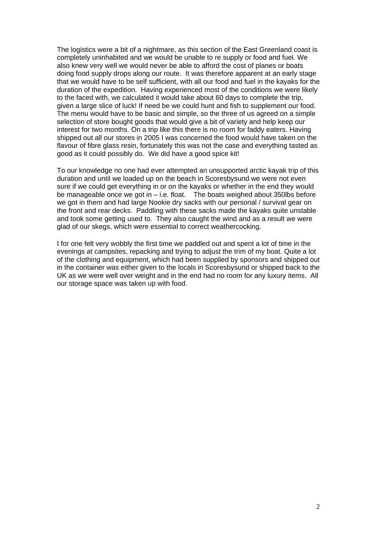The logistics were a bit of a nightmare, as this section of the East Greenland coast is completely uninhabited and we would be unable to re supply or food and fuel. We also knew very well we would never be able to afford the cost of planes or boats doing food supply drops along our route. It was therefore apparent at an early stage that we would have to be self sufficient, with all our food and fuel in the kayaks for the duration of the expedition. Having experienced most of the conditions we were likely to the faced with, we calculated it would take about 60 days to complete the trip, given a large slice of luck! If need be we could hunt and fish to supplement our food. The menu would have to be basic and simple, so the three of us agreed on a simple selection of store bought goods that would give a bit of variety and help keep our interest for two months. On a trip like this there is no room for faddy eaters. Having shipped out all our stores in 2005 I was concerned the food would have taken on the flavour of fibre glass resin, fortunately this was not the case and everything tasted as good as it could possibly do. We did have a good spice kit!

To our knowledge no one had ever attempted an unsupported arctic kayak trip of this duration and until we loaded up on the beach in Scoresbysund we were not even sure if we could get everything in or on the kayaks or whether in the end they would be manageable once we got in – i.e. float. The boats weighed about 350lbs before we got in them and had large Nookie dry sacks with our personal / survival gear on the front and rear decks. Paddling with these sacks made the kayaks quite unstable and took some getting used to. They also caught the wind and as a result we were glad of our skegs, which were essential to correct weathercocking.

I for one felt very wobbly the first time we paddled out and spent a lot of time in the evenings at campsites, repacking and trying to adjust the trim of my boat. Quite a lot of the clothing and equipment, which had been supplied by sponsors and shipped out in the container was either given to the locals in Scoresbysund or shipped back to the UK as we were well over weight and in the end had no room for any luxury items. All our storage space was taken up with food.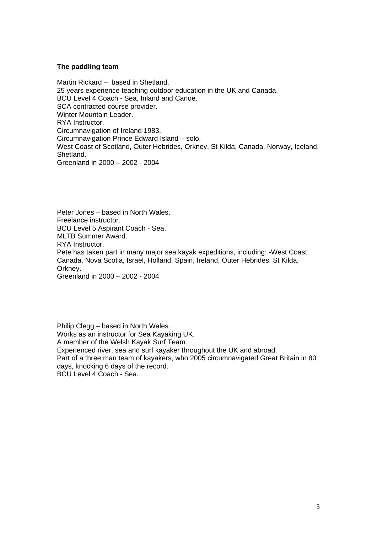#### **The paddling team**

Martin Rickard – based in Shetland. 25 years experience teaching outdoor education in the UK and Canada. BCU Level 4 Coach - Sea, Inland and Canoe. SCA contracted course provider. Winter Mountain Leader. RYA Instructor. Circumnavigation of Ireland 1983. Circumnavigation Prince Edward Island – solo. West Coast of Scotland, Outer Hebrides, Orkney, St Kilda, Canada, Norway, Iceland, Shetland. Greenland in 2000 – 2002 - 2004

Peter Jones – based in North Wales. Freelance instructor. BCU Level 5 Aspirant Coach - Sea. MLTB Summer Award. RYA Instructor. Pete has taken part in many major sea kayak expeditions, including: -West Coast Canada, Nova Scotia, Israel, Holland, Spain, Ireland, Outer Hebrides, St Kilda, Orkney. Greenland in 2000 – 2002 - 2004

Philip Clegg – based in North Wales. Works as an instructor for Sea Kayaking UK. A member of the Welsh Kayak Surf Team. Experienced river, sea and surf kayaker throughout the UK and abroad. Part of a three man team of kayakers, who 2005 circumnavigated Great Britain in 80 days, knocking 6 days of the record. BCU Level 4 Coach - Sea.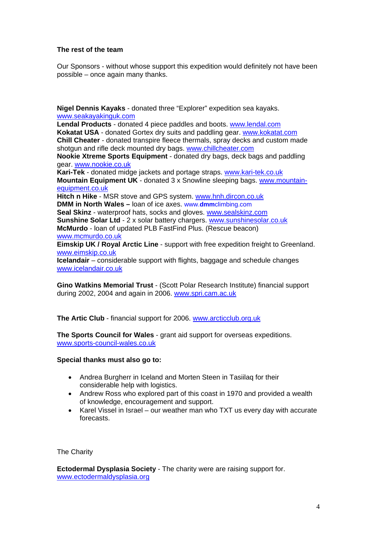### **The rest of the team**

Our Sponsors - without whose support this expedition would definitely not have been possible – once again many thanks.

**Nigel Dennis Kayaks** - donated three "Explorer" expedition sea kayaks. [www.seakayakinguk.com](http://www.seakayakinguk.com/)

**Lendal Products** - donated 4 piece paddles and boots. [www.lendal.com](http://www.lendal.com/) **Kokatat USA** - donated Gortex dry suits and paddling gear. [www.kokatat.com](http://www.kokatat.com/) **Chill Cheater** - donated transpire fleece thermals, spray decks and custom made shotgun and rifle deck mounted dry bags. [www.chillcheater.com](http://www.chillcheater.com/) **Nookie Xtreme Sports Equipment** - donated dry bags, deck bags and paddling gear. [www.nookie.co.uk](http://www.nookie.co.uk/) **Kari-Tek** - donated midge jackets and portage straps. [www.kari-tek.co.uk](http://www.kari-tek.co.uk/)  **Mountain Equipment UK** - donated 3 x Snowline sleeping bags. [www.mountain](http://www.mountain-equipment.co.uk/)[equipment.co.uk](http://www.mountain-equipment.co.uk/)  **Hitch n Hike** - MSR stove and GPS system. [www.hnh.dircon.co.uk](http://www.hnh.dircon.co.uk/) **DMM in North Wales –** loan of ice axes. www.**dmm**climbing.com **Seal Skinz** - waterproof hats, socks and gloves. [www.sealskinz.com](http://www.sealskinz.com/) **Sunshine Solar Ltd** - 2 x solar battery chargers. [www.sunshinesolar.co.uk](http://www.sunshinesolar.co.uk/) **McMurdo** - loan of updated PLB FastFind Plus. (Rescue beacon) [www.mcmurdo.co.uk](http://www.mcmurdo.co.uk/) **Eimskip UK / Royal Arctic Line** - support with free expedition freight to Greenland. [www.eimskip.co.uk](http://www.eimskip.co.uk/)  **Icelandair** – considerable support with flights, baggage and schedule changes [www.icelandair.co.uk](http://www.icelandair.co.uk/)

**Gino Watkins Memorial Trust** - (Scott Polar Research Institute) financial support during 2002, 2004 and again in 2006. [www.spri.cam.ac.uk](http://www.spri.cam.ac.uk/)

**The Artic Club** - financial support for 2006. [www.arcticclub.org.uk](http://www.arcticclub.org.uk/)

**The Sports Council for Wales** - grant aid support for overseas expeditions. [www.sports-council-wales.co.uk](http://www.sports-council-wales.co.uk/)

#### **Special thanks must also go to:**

- Andrea Burgherr in Iceland and Morten Steen in Tasiilaq for their considerable help with logistics.
- Andrew Ross who explored part of this coast in 1970 and provided a wealth of knowledge, encouragement and support.
- Karel Vissel in Israel our weather man who TXT us every day with accurate forecasts.

The Charity

**Ectodermal Dysplasia Society** - The charity were are raising support for. [www.ectodermaldysplasia.org](http://www.ectodermaldysplasia.org/)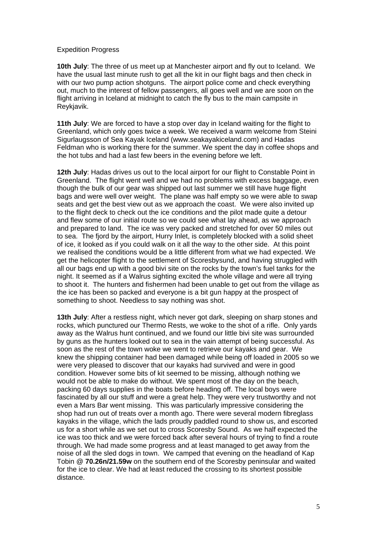#### Expedition Progress

**10th July**: The three of us meet up at Manchester airport and fly out to Iceland. We have the usual last minute rush to get all the kit in our flight bags and then check in with our two pump action shotguns. The airport police come and check everything out, much to the interest of fellow passengers, all goes well and we are soon on the flight arriving in Iceland at midnight to catch the fly bus to the main campsite in Reykjavik.

**11th July**: We are forced to have a stop over day in Iceland waiting for the flight to Greenland, which only goes twice a week. We received a warm welcome from Steini Sigurlaugsson of Sea Kayak Iceland (www.seakayakiceland.com) and Hadas Feldman who is working there for the summer. We spent the day in coffee shops and the hot tubs and had a last few beers in the evening before we left.

**12th July**: Hadas drives us out to the local airport for our flight to Constable Point in Greenland. The flight went well and we had no problems with excess baggage, even though the bulk of our gear was shipped out last summer we still have huge flight bags and were well over weight. The plane was half empty so we were able to swap seats and get the best view out as we approach the coast. We were also invited up to the flight deck to check out the ice conditions and the pilot made quite a detour and flew some of our initial route so we could see what lay ahead, as we approach and prepared to land. The ice was very packed and stretched for over 50 miles out to sea. The fjord by the airport, Hurry Inlet, is completely blocked with a solid sheet of ice, it looked as if you could walk on it all the way to the other side. At this point we realised the conditions would be a little different from what we had expected. We get the helicopter flight to the settlement of Scoresbysund, and having struggled with all our bags end up with a good bivi site on the rocks by the town's fuel tanks for the night. It seemed as if a Walrus sighting excited the whole village and were all trying to shoot it. The hunters and fishermen had been unable to get out from the village as the ice has been so packed and everyone is a bit gun happy at the prospect of something to shoot. Needless to say nothing was shot.

**13th July**: After a restless night, which never got dark, sleeping on sharp stones and rocks, which punctured our Thermo Rests, we woke to the shot of a rifle. Only yards away as the Walrus hunt continued, and we found our little bivi site was surrounded by guns as the hunters looked out to sea in the vain attempt of being successful. As soon as the rest of the town woke we went to retrieve our kayaks and gear. We knew the shipping container had been damaged while being off loaded in 2005 so we were very pleased to discover that our kayaks had survived and were in good condition. However some bits of kit seemed to be missing, although nothing we would not be able to make do without. We spent most of the day on the beach, packing 60 days supplies in the boats before heading off. The local boys were fascinated by all our stuff and were a great help. They were very trustworthy and not even a Mars Bar went missing. This was particularly impressive considering the shop had run out of treats over a month ago. There were several modern fibreglass kayaks in the village, which the lads proudly paddled round to show us, and escorted us for a short while as we set out to cross Scoresby Sound. As we half expected the ice was too thick and we were forced back after several hours of trying to find a route through. We had made some progress and at least managed to get away from the noise of all the sled dogs in town. We camped that evening on the headland of Kap Tobin @ **70.26n/21.59w** on the southern end of the Scoresby peninsular and waited for the ice to clear. We had at least reduced the crossing to its shortest possible distance.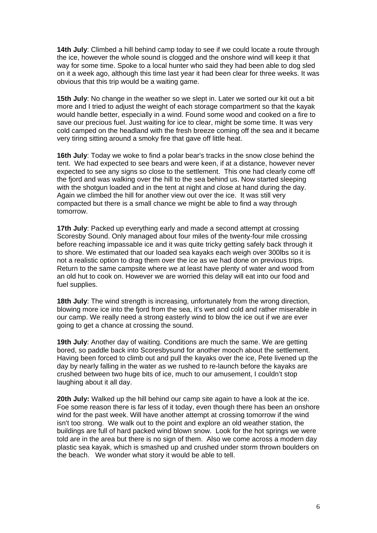**14th July**: Climbed a hill behind camp today to see if we could locate a route through the ice, however the whole sound is clogged and the onshore wind will keep it that way for some time. Spoke to a local hunter who said they had been able to dog sled on it a week ago, although this time last year it had been clear for three weeks. It was obvious that this trip would be a waiting game.

**15th July**: No change in the weather so we slept in. Later we sorted our kit out a bit more and I tried to adjust the weight of each storage compartment so that the kayak would handle better, especially in a wind. Found some wood and cooked on a fire to save our precious fuel. Just waiting for ice to clear, might be some time. It was very cold camped on the headland with the fresh breeze coming off the sea and it became very tiring sitting around a smoky fire that gave off little heat.

**16th July**: Today we woke to find a polar bear's tracks in the snow close behind the tent. We had expected to see bears and were keen, if at a distance, however never expected to see any signs so close to the settlement. This one had clearly come off the fjord and was walking over the hill to the sea behind us. Now started sleeping with the shotgun loaded and in the tent at night and close at hand during the day. Again we climbed the hill for another view out over the ice. It was still very compacted but there is a small chance we might be able to find a way through tomorrow.

**17th July**: Packed up everything early and made a second attempt at crossing Scoresby Sound. Only managed about four miles of the twenty-four mile crossing before reaching impassable ice and it was quite tricky getting safely back through it to shore. We estimated that our loaded sea kayaks each weigh over 300lbs so it is not a realistic option to drag them over the ice as we had done on previous trips. Return to the same campsite where we at least have plenty of water and wood from an old hut to cook on. However we are worried this delay will eat into our food and fuel supplies.

**18th July**: The wind strength is increasing, unfortunately from the wrong direction, blowing more ice into the fjord from the sea, it's wet and cold and rather miserable in our camp. We really need a strong easterly wind to blow the ice out if we are ever going to get a chance at crossing the sound.

**19th July**: Another day of waiting. Conditions are much the same. We are getting bored, so paddle back into Scoresbysund for another mooch about the settlement. Having been forced to climb out and pull the kayaks over the ice, Pete livened up the day by nearly falling in the water as we rushed to re-launch before the kayaks are crushed between two huge bits of ice, much to our amusement, I couldn't stop laughing about it all day.

**20th July:** Walked up the hill behind our camp site again to have a look at the ice. Foe some reason there is far less of it today, even though there has been an onshore wind for the past week. Will have another attempt at crossing tomorrow if the wind isn't too strong. We walk out to the point and explore an old weather station, the buildings are full of hard packed wind blown snow. Look for the hot springs we were told are in the area but there is no sign of them. Also we come across a modern day plastic sea kayak, which is smashed up and crushed under storm thrown boulders on the beach. We wonder what story it would be able to tell.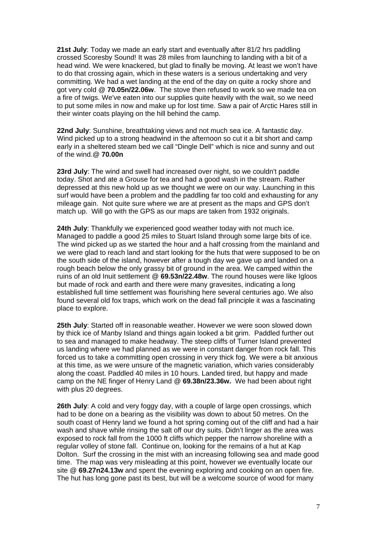**21st July**: Today we made an early start and eventually after 81/2 hrs paddling crossed Scoresby Sound! It was 28 miles from launching to landing with a bit of a head wind. We were knackered, but glad to finally be moving. At least we won't have to do that crossing again, which in these waters is a serious undertaking and very committing. We had a wet landing at the end of the day on quite a rocky shore and got very cold @ **70.05n/22.06w**. The stove then refused to work so we made tea on a fire of twigs. We've eaten into our supplies quite heavily with the wait, so we need to put some miles in now and make up for lost time. Saw a pair of Arctic Hares still in their winter coats playing on the hill behind the camp.

**22nd July**: Sunshine, breathtaking views and not much sea ice. A fantastic day. Wind picked up to a strong headwind in the afternoon so cut it a bit short and camp early in a sheltered steam bed we call "Dingle Dell" which is nice and sunny and out of the wind.@ **70.00n** 

**23rd July**: The wind and swell had increased over night, so we couldn't paddle today. Shot and ate a Grouse for tea and had a good wash in the stream. Rather depressed at this new hold up as we thought we were on our way. Launching in this surf would have been a problem and the paddling far too cold and exhausting for any mileage gain. Not quite sure where we are at present as the maps and GPS don't match up. Will go with the GPS as our maps are taken from 1932 originals.

**24th July**: Thankfully we experienced good weather today with not much ice. Managed to paddle a good 25 miles to Stuart Island through some large bits of ice. The wind picked up as we started the hour and a half crossing from the mainland and we were glad to reach land and start looking for the huts that were supposed to be on the south side of the island, however after a tough day we gave up and landed on a rough beach below the only grassy bit of ground in the area. We camped within the ruins of an old Inuit settlement @ **69.53n/22.48w**. The round houses were like Igloos but made of rock and earth and there were many gravesites, indicating a long established full time settlement was flourishing here several centuries ago. We also found several old fox traps, which work on the dead fall principle it was a fascinating place to explore.

**25th July**: Started off in reasonable weather. However we were soon slowed down by thick ice of Manby Island and things again looked a bit grim. Paddled further out to sea and managed to make headway. The steep cliffs of Turner Island prevented us landing where we had planned as we were in constant danger from rock fall. This forced us to take a committing open crossing in very thick fog. We were a bit anxious at this time, as we were unsure of the magnetic variation, which varies considerably along the coast. Paddled 40 miles in 10 hours. Landed tired, but happy and made camp on the NE finger of Henry Land @ **69.38n/23.36w.** We had been about right with plus 20 degrees.

**26th July**: A cold and very foggy day, with a couple of large open crossings, which had to be done on a bearing as the visibility was down to about 50 metres. On the south coast of Henry land we found a hot spring coming out of the cliff and had a hair wash and shave while rinsing the salt off our dry suits. Didn't linger as the area was exposed to rock fall from the 1000 ft cliffs which pepper the narrow shoreline with a regular volley of stone fall. Continue on, looking for the remains of a hut at Kap Dolton. Surf the crossing in the mist with an increasing following sea and made good time. The map was very misleading at this point, however we eventually locate our site @ **69.27n24.13w** and spent the evening exploring and cooking on an open fire. The hut has long gone past its best, but will be a welcome source of wood for many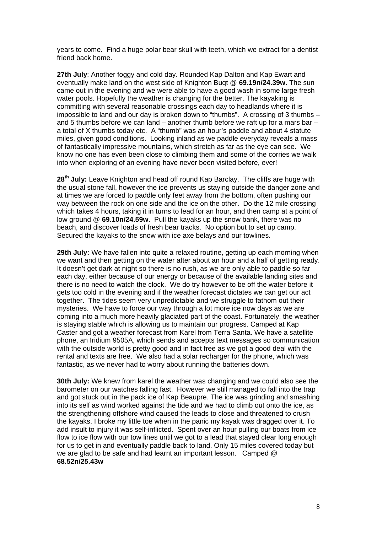years to come. Find a huge polar bear skull with teeth, which we extract for a dentist friend back home.

**27th July**: Another foggy and cold day. Rounded Kap Dalton and Kap Ewart and eventually make land on the west side of Knighton Buqt @ **69.19n/24.39w.** The sun came out in the evening and we were able to have a good wash in some large fresh water pools. Hopefully the weather is changing for the better. The kayaking is committing with several reasonable crossings each day to headlands where it is impossible to land and our day is broken down to "thumbs". A crossing of 3 thumbs – and 5 thumbs before we can land – another thumb before we raft up for a mars bar – a total of X thumbs today etc. A "thumb" was an hour's paddle and about 4 statute miles, given good conditions. Looking inland as we paddle everyday reveals a mass of fantastically impressive mountains, which stretch as far as the eye can see. We know no one has even been close to climbing them and some of the corries we walk into when exploring of an evening have never been visited before, ever!

**28th July:** Leave Knighton and head off round Kap Barclay. The cliffs are huge with the usual stone fall, however the ice prevents us staying outside the danger zone and at times we are forced to paddle only feet away from the bottom, often pushing our way between the rock on one side and the ice on the other. Do the 12 mile crossing which takes 4 hours, taking it in turns to lead for an hour, and then camp at a point of low ground @ **69.10n/24.59w**. Pull the kayaks up the snow bank, there was no beach, and discover loads of fresh bear tracks. No option but to set up camp. Secured the kayaks to the snow with ice axe belays and our towlines.

**29th July:** We have fallen into quite a relaxed routine, getting up each morning when we want and then getting on the water after about an hour and a half of getting ready. It doesn't get dark at night so there is no rush, as we are only able to paddle so far each day, either because of our energy or because of the available landing sites and there is no need to watch the clock. We do try however to be off the water before it gets too cold in the evening and if the weather forecast dictates we can get our act together. The tides seem very unpredictable and we struggle to fathom out their mysteries. We have to force our way through a lot more ice now days as we are coming into a much more heavily glaciated part of the coast. Fortunately, the weather is staying stable which is allowing us to maintain our progress. Camped at Kap Caster and got a weather forecast from Karel from Terra Santa. We have a satellite phone, an Iridium 9505A, which sends and accepts text messages so communication with the outside world is pretty good and in fact free as we got a good deal with the rental and texts are free. We also had a solar recharger for the phone, which was fantastic, as we never had to worry about running the batteries down.

**30th July:** We knew from karel the weather was changing and we could also see the barometer on our watches falling fast. However we still managed to fall into the trap and got stuck out in the pack ice of Kap Beaupre. The ice was grinding and smashing into its self as wind worked against the tide and we had to climb out onto the ice, as the strengthening offshore wind caused the leads to close and threatened to crush the kayaks. I broke my little toe when in the panic my kayak was dragged over it. To add insult to injury it was self-inflicted. Spent over an hour pulling our boats from ice flow to ice flow with our tow lines until we got to a lead that stayed clear long enough for us to get in and eventually paddle back to land. Only 15 miles covered today but we are glad to be safe and had learnt an important lesson. Camped @ **68.52n/25.43w**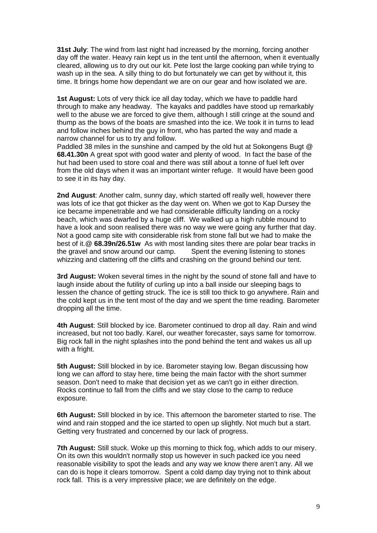**31st July**: The wind from last night had increased by the morning, forcing another day off the water. Heavy rain kept us in the tent until the afternoon, when it eventually cleared, allowing us to dry out our kit. Pete lost the large cooking pan while trying to wash up in the sea. A silly thing to do but fortunately we can get by without it, this time. It brings home how dependant we are on our gear and how isolated we are.

**1st August:** Lots of very thick ice all day today, which we have to paddle hard through to make any headway. The kayaks and paddles have stood up remarkably well to the abuse we are forced to give them, although I still cringe at the sound and thump as the bows of the boats are smashed into the ice. We took it in turns to lead and follow inches behind the guy in front, who has parted the way and made a narrow channel for us to try and follow.

Paddled 38 miles in the sunshine and camped by the old hut at Sokongens Bugt @ **68.41.30n** A great spot with good water and plenty of wood. In fact the base of the hut had been used to store coal and there was still about a tonne of fuel left over from the old days when it was an important winter refuge. It would have been good to see it in its hay day.

**2nd August**: Another calm, sunny day, which started off really well, however there was lots of ice that got thicker as the day went on. When we got to Kap Dursey the ice became impenetrable and we had considerable difficulty landing on a rocky beach, which was dwarfed by a huge cliff. We walked up a high rubble mound to have a look and soon realised there was no way we were going any further that day. Not a good camp site with considerable risk from stone fall but we had to make the best of it.@ **68.39n/26.51w** As with most landing sites there are polar bear tracks in the gravel and snow around our camp. Spent the evening listening to stones whizzing and clattering off the cliffs and crashing on the ground behind our tent.

**3rd August:** Woken several times in the night by the sound of stone fall and have to laugh inside about the futility of curling up into a ball inside our sleeping bags to lessen the chance of getting struck. The ice is still too thick to go anywhere. Rain and the cold kept us in the tent most of the day and we spent the time reading. Barometer dropping all the time.

**4th August**: Still blocked by ice. Barometer continued to drop all day. Rain and wind increased, but not too badly. Karel, our weather forecaster, says same for tomorrow. Big rock fall in the night splashes into the pond behind the tent and wakes us all up with a fright.

**5th August:** Still blocked in by ice. Barometer staying low. Began discussing how long we can afford to stay here, time being the main factor with the short summer season. Don't need to make that decision yet as we can't go in either direction. Rocks continue to fall from the cliffs and we stay close to the camp to reduce exposure.

**6th August:** Still blocked in by ice. This afternoon the barometer started to rise. The wind and rain stopped and the ice started to open up slightly. Not much but a start. Getting very frustrated and concerned by our lack of progress.

**7th August:** Still stuck. Woke up this morning to thick fog, which adds to our misery. On its own this wouldn't normally stop us however in such packed ice you need reasonable visibility to spot the leads and any way we know there aren't any. All we can do is hope it clears tomorrow. Spent a cold damp day trying not to think about rock fall. This is a very impressive place; we are definitely on the edge.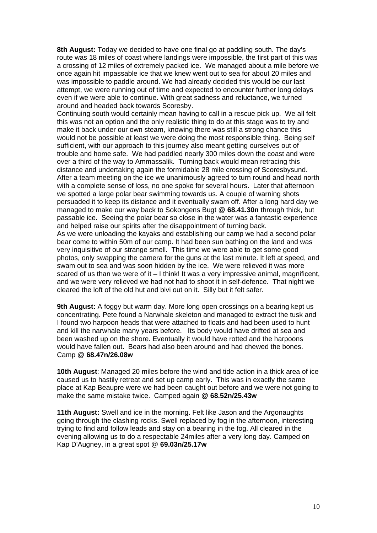**8th August:** Today we decided to have one final go at paddling south. The day's route was 18 miles of coast where landings were impossible, the first part of this was a crossing of 12 miles of extremely packed ice. We managed about a mile before we once again hit impassable ice that we knew went out to sea for about 20 miles and was impossible to paddle around. We had already decided this would be our last attempt, we were running out of time and expected to encounter further long delays even if we were able to continue. With great sadness and reluctance, we turned around and headed back towards Scoresby.

Continuing south would certainly mean having to call in a rescue pick up. We all felt this was not an option and the only realistic thing to do at this stage was to try and make it back under our own steam, knowing there was still a strong chance this would not be possible at least we were doing the most responsible thing. Being self sufficient, with our approach to this journey also meant getting ourselves out of trouble and home safe. We had paddled nearly 300 miles down the coast and were over a third of the way to Ammassalik. Turning back would mean retracing this distance and undertaking again the formidable 28 mile crossing of Scoresbysund. After a team meeting on the ice we unanimously agreed to turn round and head north with a complete sense of loss, no one spoke for several hours. Later that afternoon we spotted a large polar bear swimming towards us. A couple of warning shots persuaded it to keep its distance and it eventually swam off. After a long hard day we managed to make our way back to Sokongens Bugt @ **68.41.30n** through thick, but passable ice. Seeing the polar bear so close in the water was a fantastic experience and helped raise our spirits after the disappointment of turning back.

As we were unloading the kayaks and establishing our camp we had a second polar bear come to within 50m of our camp. It had been sun bathing on the land and was very inquisitive of our strange smell. This time we were able to get some good photos, only swapping the camera for the guns at the last minute. It left at speed, and swam out to sea and was soon hidden by the ice. We were relieved it was more scared of us than we were of it – I think! It was a very impressive animal, magnificent, and we were very relieved we had not had to shoot it in self-defence. That night we cleared the loft of the old hut and bivi out on it. Silly but it felt safer.

**9th August:** A foggy but warm day. More long open crossings on a bearing kept us concentrating. Pete found a Narwhale skeleton and managed to extract the tusk and I found two harpoon heads that were attached to floats and had been used to hunt and kill the narwhale many years before. Its body would have drifted at sea and been washed up on the shore. Eventually it would have rotted and the harpoons would have fallen out. Bears had also been around and had chewed the bones. Camp @ **68.47n/26.08w**

**10th August**: Managed 20 miles before the wind and tide action in a thick area of ice caused us to hastily retreat and set up camp early. This was in exactly the same place at Kap Beaupre were we had been caught out before and we were not going to make the same mistake twice. Camped again @ **68.52n/25.43w**

**11th August:** Swell and ice in the morning. Felt like Jason and the Argonaughts going through the clashing rocks. Swell replaced by fog in the afternoon, interesting trying to find and follow leads and stay on a bearing in the fog. All cleared in the evening allowing us to do a respectable 24miles after a very long day. Camped on Kap D'Augney, in a great spot @ **69.03n/25.17w**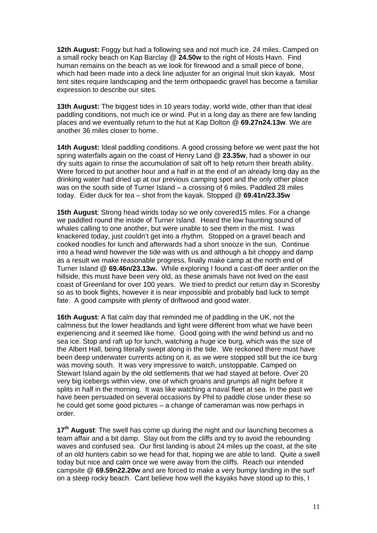**12th August:** Foggy but had a following sea and not much ice. 24 miles. Camped on a small rocky beach on Kap Barclay @ **24.50w** to the right of Hosts Havn. Find human remains on the beach as we look for firewood and a small piece of bone, which had been made into a deck line adjuster for an original Inuit skin kayak. Most tent sites require landscaping and the term orthopaedic gravel has become a familiar expression to describe our sites.

**13th August:** The biggest tides in 10 years today, world wide, other than that ideal paddling conditions, not much ice or wind. Put in a long day as there are few landing places and we eventually return to the hut at Kap Dolton @ **69.27n24.13w**. We are another 36 miles closer to home.

**14th August:** Ideal paddling conditions. A good crossing before we went past the hot spring waterfalls again on the coast of Henry Land @ **23.35w**, had a shower in our dry suits again to rinse the accumulation of salt off to help return their breath ability. Were forced to put another hour and a half in at the end of an already long day as the drinking water had dried up at our previous camping spot and the only other place was on the south side of Turner Island – a crossing of 6 miles. Paddled 28 miles today. Eider duck for tea – shot from the kayak. Stopped @ **69.41n/23.35w** 

**15th August**: Strong head winds today so we only covered15 miles. For a change we paddled round the inside of Turner Island. Heard the low haunting sound of whales calling to one another, but were unable to see them in the mist. I was knackered today, just couldn't get into a rhythm. Stopped on a gravel beach and cooked noodles for lunch and afterwards had a short snooze in the sun. Continue into a head wind however the tide was with us and although a bit choppy and damp as a result we make reasonable progress, finally make camp at the north end of Turner Island @ **69.46n/23.13w.** While exploring I found a cast-off deer antler on the hillside, this must have been very old, as these animals have not lived on the east coast of Greenland for over 100 years. We tried to predict our return day in Scoresby so as to book flights, however it is near impossible and probably bad luck to tempt fate. A good campsite with plenty of driftwood and good water.

**16th August**: A flat calm day that reminded me of paddling in the UK, not the calmness but the lower headlands and light were different from what we have been experiencing and it seemed like home. Good going with the wind behind us and no sea ice. Stop and raft up for lunch, watching a huge ice burg, which was the size of the Albert Hall, being literally swept along in the tide. We reckoned there must have been deep underwater currents acting on it, as we were stopped still but the ice burg was moving south. It was very impressive to watch, unstoppable. Camped on Stewart Island again by the old settlements that we had stayed at before. Over 20 very big icebergs within view, one of which groans and grumps all night before it splits in half in the morning. It was like watching a naval fleet at sea. In the past we have been persuaded on several occasions by Phil to paddle close under these so he could get some good pictures – a change of cameraman was now perhaps in order.

**17th August**: The swell has come up during the night and our launching becomes a team affair and a bit damp. Stay out from the cliffs and try to avoid the rebounding waves and confused sea. Our first landing is about 24 miles up the coast, at the site of an old hunters cabin so we head for that, hoping we are able to land. Quite a swell today but nice and calm once we were away from the cliffs. Reach our intended campsite @ **69.59n22.20w** and are forced to make a very bumpy landing in the surf on a steep rocky beach. Cant believe how well the kayaks have stood up to this, I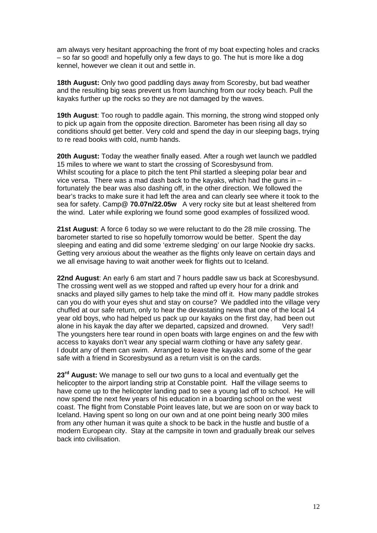am always very hesitant approaching the front of my boat expecting holes and cracks – so far so good! and hopefully only a few days to go. The hut is more like a dog kennel, however we clean it out and settle in.

**18th August:** Only two good paddling days away from Scoresby, but bad weather and the resulting big seas prevent us from launching from our rocky beach. Pull the kayaks further up the rocks so they are not damaged by the waves.

**19th August**: Too rough to paddle again. This morning, the strong wind stopped only to pick up again from the opposite direction. Barometer has been rising all day so conditions should get better. Very cold and spend the day in our sleeping bags, trying to re read books with cold, numb hands.

**20th August:** Today the weather finally eased. After a rough wet launch we paddled 15 miles to where we want to start the crossing of Scoresbysund from. Whilst scouting for a place to pitch the tent Phil startled a sleeping polar bear and vice versa. There was a mad dash back to the kayaks, which had the guns in – fortunately the bear was also dashing off, in the other direction. We followed the bear's tracks to make sure it had left the area and can clearly see where it took to the sea for safety. Camp@ **70.07n/22.05w** A very rocky site but at least sheltered from the wind. Later while exploring we found some good examples of fossilized wood.

**21st August**: A force 6 today so we were reluctant to do the 28 mile crossing. The barometer started to rise so hopefully tomorrow would be better. Spent the day sleeping and eating and did some 'extreme sledging' on our large Nookie dry sacks. Getting very anxious about the weather as the flights only leave on certain days and we all envisage having to wait another week for flights out to Iceland.

**22nd August**: An early 6 am start and 7 hours paddle saw us back at Scoresbysund. The crossing went well as we stopped and rafted up every hour for a drink and snacks and played silly games to help take the mind off it. How many paddle strokes can you do with your eyes shut and stay on course? We paddled into the village very chuffed at our safe return, only to hear the devastating news that one of the local 14 year old boys, who had helped us pack up our kayaks on the first day, had been out alone in his kayak the day after we departed, capsized and drowned. Very sad!! The youngsters here tear round in open boats with large engines on and the few with access to kayaks don't wear any special warm clothing or have any safety gear. I doubt any of them can swim. Arranged to leave the kayaks and some of the gear safe with a friend in Scoresbysund as a return visit is on the cards.

**23rd August:** We manage to sell our two guns to a local and eventually get the helicopter to the airport landing strip at Constable point. Half the village seems to have come up to the helicopter landing pad to see a young lad off to school. He will now spend the next few years of his education in a boarding school on the west coast. The flight from Constable Point leaves late, but we are soon on or way back to Iceland. Having spent so long on our own and at one point being nearly 300 miles from any other human it was quite a shock to be back in the hustle and bustle of a modern European city. Stay at the campsite in town and gradually break our selves back into civilisation.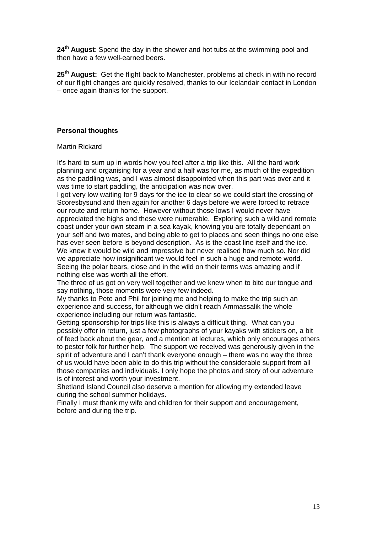**24th August**: Spend the day in the shower and hot tubs at the swimming pool and then have a few well-earned beers.

**25th August:** Get the flight back to Manchester, problems at check in with no record of our flight changes are quickly resolved, thanks to our Icelandair contact in London – once again thanks for the support.

## **Personal thoughts**

### Martin Rickard

It's hard to sum up in words how you feel after a trip like this. All the hard work planning and organising for a year and a half was for me, as much of the expedition as the paddling was, and I was almost disappointed when this part was over and it was time to start paddling, the anticipation was now over.

I got very low waiting for 9 days for the ice to clear so we could start the crossing of Scoresbysund and then again for another 6 days before we were forced to retrace our route and return home. However without those lows I would never have appreciated the highs and these were numerable. Exploring such a wild and remote coast under your own steam in a sea kayak, knowing you are totally dependant on your self and two mates, and being able to get to places and seen things no one else has ever seen before is beyond description. As is the coast line itself and the ice. We knew it would be wild and impressive but never realised how much so. Nor did we appreciate how insignificant we would feel in such a huge and remote world. Seeing the polar bears, close and in the wild on their terms was amazing and if nothing else was worth all the effort.

The three of us got on very well together and we knew when to bite our tongue and say nothing, those moments were very few indeed.

My thanks to Pete and Phil for joining me and helping to make the trip such an experience and success, for although we didn't reach Ammassalik the whole experience including our return was fantastic.

Getting sponsorship for trips like this is always a difficult thing. What can you possibly offer in return, just a few photographs of your kayaks with stickers on, a bit of feed back about the gear, and a mention at lectures, which only encourages others to pester folk for further help. The support we received was generously given in the spirit of adventure and I can't thank everyone enough – there was no way the three of us would have been able to do this trip without the considerable support from all those companies and individuals. I only hope the photos and story of our adventure is of interest and worth your investment.

Shetland Island Council also deserve a mention for allowing my extended leave during the school summer holidays.

Finally I must thank my wife and children for their support and encouragement, before and during the trip.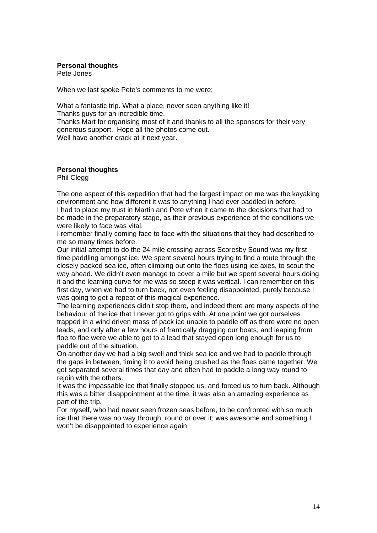#### **Personal thoughts**

Pete Jones

When we last spoke Pete's comments to me were;

What a fantastic trip. What a place, never seen anything like it! Thanks guys for an incredible time.

Thanks Mart for organising most of it and thanks to all the sponsors for their very generous support. Hope all the photos come out.

Well have another crack at it next year.

# **Personal thoughts**

Phil Clegg

The one aspect of this expedition that had the largest impact on me was the kayaking environment and how different it was to anything I had ever paddled in before. I had to place my trust in Martin and Pete when it came to the decisions that had to be made in the preparatory stage, as their previous experience of the conditions we were likely to face was vital.

I remember finally coming face to face with the situations that they had described to me so many times before.

Our initial attempt to do the 24 mile crossing across Scoresby Sound was my first time paddling amongst ice. We spent several hours trying to find a route through the closely packed sea ice, often climbing out onto the floes using ice axes, to scout the way ahead. We didn't even manage to cover a mile but we spent several hours doing it and the learning curve for me was so steep it was vertical. I can remember on this first day, when we had to turn back, not even feeling disappointed, purely because I was going to get a repeat of this magical experience.

The learning experiences didn't stop there, and indeed there are many aspects of the behaviour of the ice that I never got to grips with. At one point we got ourselves trapped in a wind driven mass of pack ice unable to paddle off as there were no open leads, and only after a few hours of frantically dragging our boats, and leaping from floe to floe were we able to get to a lead that stayed open long enough for us to paddle out of the situation.

On another day we had a big swell and thick sea ice and we had to paddle through the gaps in between, timing it to avoid being crushed as the floes came together. We got separated several times that day and often had to paddle a long way round to reioin with the others.

It was the impassable ice that finally stopped us, and forced us to turn back. Although this was a bitter disappointment at the time, it was also an amazing experience as part of the trip.

For myself, who had never seen frozen seas before, to be confronted with so much ice that there was no way through, round or over it; was awesome and something I won't be disappointed to experience again.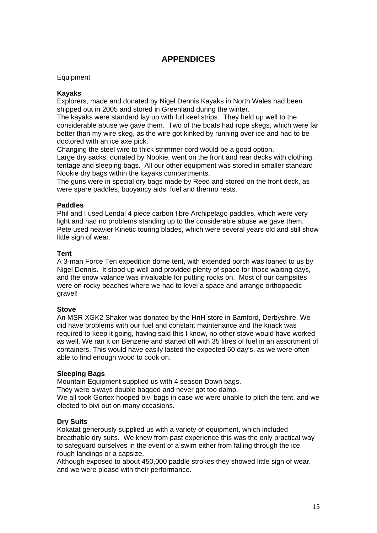# **APPENDICES**

#### Equipment

#### **Kayaks**

Explorers, made and donated by Nigel Dennis Kayaks in North Wales had been shipped out in 2005 and stored in Greenland during the winter.

The kayaks were standard lay up with full keel strips. They held up well to the considerable abuse we gave them. Two of the boats had rope skegs, which were far better than my wire skeg, as the wire got kinked by running over ice and had to be doctored with an ice axe pick.

Changing the steel wire to thick strimmer cord would be a good option.

Large dry sacks, donated by Nookie, went on the front and rear decks with clothing, tentage and sleeping bags. All our other equipment was stored in smaller standard Nookie dry bags within the kayaks compartments.

The guns were in special dry bags made by Reed and stored on the front deck, as were spare paddles, buoyancy aids, fuel and thermo rests.

#### **Paddles**

Phil and I used Lendal 4 piece carbon fibre Archipelago paddles, which were very light and had no problems standing up to the considerable abuse we gave them. Pete used heavier Kinetic touring blades, which were several years old and still show little sign of wear.

#### **Tent**

A 3-man Force Ten expedition dome tent, with extended porch was loaned to us by Nigel Dennis. It stood up well and provided plenty of space for those waiting days, and the snow valance was invaluable for putting rocks on. Most of our campsites were on rocky beaches where we had to level a space and arrange orthopaedic gravel!

### **Stove**

An MSR XGK2 Shaker was donated by the HnH store in Bamford, Derbyshire. We did have problems with our fuel and constant maintenance and the knack was required to keep it going, having said this I know, no other stove would have worked as well. We ran it on Benzene and started off with 35 litres of fuel in an assortment of containers. This would have easily lasted the expected 60 day's, as we were often able to find enough wood to cook on.

### **Sleeping Bags**

Mountain Equipment supplied us with 4 season Down bags.

They were always double bagged and never got too damp.

We all took Gortex hooped bivi bags in case we were unable to pitch the tent, and we elected to bivi out on many occasions.

### **Dry Suits**

Kokatat generously supplied us with a variety of equipment, which included breathable dry suits. We knew from past experience this was the only practical way to safeguard ourselves in the event of a swim either from falling through the ice, rough landings or a capsize.

Although exposed to about 450,000 paddle strokes they showed little sign of wear, and we were please with their performance.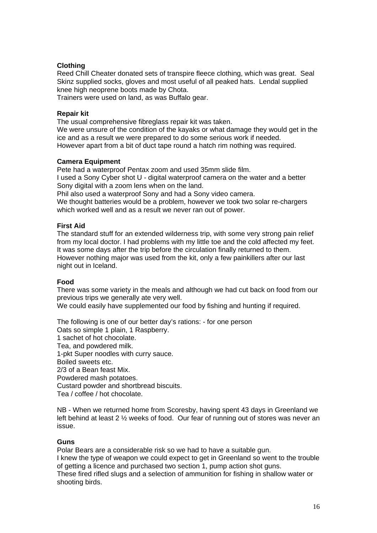## **Clothing**

Reed Chill Cheater donated sets of transpire fleece clothing, which was great. Seal Skinz supplied socks, gloves and most useful of all peaked hats. Lendal supplied knee high neoprene boots made by Chota.

Trainers were used on land, as was Buffalo gear.

#### **Repair kit**

The usual comprehensive fibreglass repair kit was taken.

We were unsure of the condition of the kayaks or what damage they would get in the ice and as a result we were prepared to do some serious work if needed. However apart from a bit of duct tape round a hatch rim nothing was required.

### **Camera Equipment**

Pete had a waterproof Pentax zoom and used 35mm slide film.

I used a Sony Cyber shot U - digital waterproof camera on the water and a better Sony digital with a zoom lens when on the land.

Phil also used a waterproof Sony and had a Sony video camera.

We thought batteries would be a problem, however we took two solar re-chargers which worked well and as a result we never ran out of power.

#### **First Aid**

The standard stuff for an extended wilderness trip, with some very strong pain relief from my local doctor. I had problems with my little toe and the cold affected my feet. It was some days after the trip before the circulation finally returned to them. However nothing major was used from the kit, only a few painkillers after our last night out in Iceland.

### **Food**

There was some variety in the meals and although we had cut back on food from our previous trips we generally ate very well.

We could easily have supplemented our food by fishing and hunting if required.

The following is one of our better day's rations: - for one person Oats so simple 1 plain, 1 Raspberry. 1 sachet of hot chocolate. Tea, and powdered milk. 1-pkt Super noodles with curry sauce. Boiled sweets etc. 2/3 of a Bean feast Mix. Powdered mash potatoes. Custard powder and shortbread biscuits. Tea / coffee / hot chocolate.

NB - When we returned home from Scoresby, having spent 43 days in Greenland we left behind at least 2 ½ weeks of food. Our fear of running out of stores was never an issue.

### **Guns**

Polar Bears are a considerable risk so we had to have a suitable gun.

I knew the type of weapon we could expect to get in Greenland so went to the trouble of getting a licence and purchased two section 1, pump action shot guns.

These fired rifled slugs and a selection of ammunition for fishing in shallow water or shooting birds.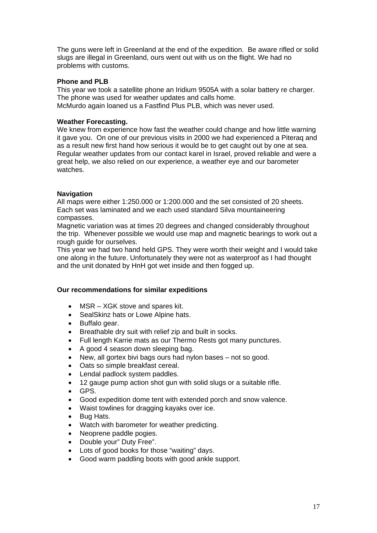The guns were left in Greenland at the end of the expedition. Be aware rifled or solid slugs are illegal in Greenland, ours went out with us on the flight. We had no problems with customs.

#### **Phone and PLB**

This year we took a satellite phone an Iridium 9505A with a solar battery re charger. The phone was used for weather updates and calls home. McMurdo again loaned us a Fastfind Plus PLB, which was never used.

#### **Weather Forecasting.**

We knew from experience how fast the weather could change and how little warning it gave you. On one of our previous visits in 2000 we had experienced a Piteraq and as a result new first hand how serious it would be to get caught out by one at sea. Regular weather updates from our contact karel in Israel, proved reliable and were a great help, we also relied on our experience, a weather eye and our barometer watches.

#### **Navigation**

All maps were either 1:250.000 or 1:200.000 and the set consisted of 20 sheets. Each set was laminated and we each used standard Silva mountaineering compasses.

Magnetic variation was at times 20 degrees and changed considerably throughout the trip. Whenever possible we would use map and magnetic bearings to work out a rough guide for ourselves.

This year we had two hand held GPS. They were worth their weight and I would take one along in the future. Unfortunately they were not as waterproof as I had thought and the unit donated by HnH got wet inside and then fogged up.

#### **Our recommendations for similar expeditions**

- MSR XGK stove and spares kit.
- SealSkinz hats or Lowe Alpine hats.
- Buffalo gear.
- Breathable dry suit with relief zip and built in socks.
- Full length Karrie mats as our Thermo Rests got many punctures.
- A good 4 season down sleeping bag.
- New, all gortex bivi bags ours had nylon bases not so good.
- Oats so simple breakfast cereal.
- Lendal padlock system paddles.
- 12 gauge pump action shot gun with solid slugs or a suitable rifle.
- GPS.
- Good expedition dome tent with extended porch and snow valence.
- Waist towlines for dragging kayaks over ice.
- Bug Hats.
- Watch with barometer for weather predicting.
- Neoprene paddle pogies.
- Double your" Duty Free".
- Lots of good books for those "waiting" days.
- Good warm paddling boots with good ankle support.